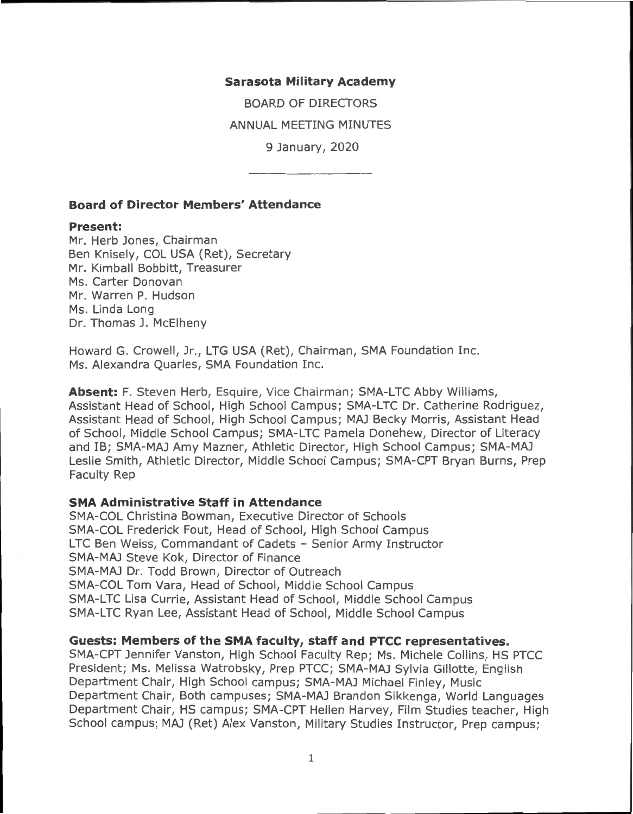#### **Sarasota Military Academy**

BOARD OF DIRECTORS ANNUAL MEETING MINUTES 9 January, 2020

**Board of Director Members' Attendance** 

#### **Present:**

Mr. Herb Jones, Chairman Ben Knisely, COL USA (Ret), Secretary Mr. Kimball Bobbitt, Treasurer Ms. Carter Donovan Mr. Warren P. Hudson Ms. Linda Long Dr. Thomas J. McElheny

Howard G. Crowell, Jr., LTG USA (Ret), Chairman, SMA Foundation Inc. Ms. Alexandra Quarles, SMA Foundation Inc.

**Absent:** F. Steven Herb, Esquire, Vice Chairman; SMA-LTC Abby Williams, Assistant Head of School, High School Campus; SMA-LTC Dr. Catherine Rodriguez, Assistant Head of School, High School Campus; MAJ Becky Morris, Assistant Head of School, Middle School Campus; SMA-LTC Pamela Donehew, Director of Literacy and IB; SMA-MAJ Amy Mazner, Athletic Director, High School Campus; SMA-MAJ Leslie Smith, Athletic Director, Middle School Campus; SMA-CPT Bryan Burns, Prep Faculty Rep

#### **SMA Administrative Staff in Attendance**

SMA-COL Christina Bowman, Executive Director of Schools SMA-COL Frederick Fout, Head of School, High School Campus LTC Ben Weiss, Commandant of Cadets - Senior Army Instructor SMA-MAJ Steve Kok, Director of Finance SMA-MAJ Dr. Todd Brown, Director of Outreach SMA-COL Tom Vara, Head of School, Middle School Campus SMA-LTC Lisa Currie, Assistant Head of School, Middle School Campus SMA-LTC Ryan Lee, Assistant Head of School, Middle School Campus

### **Guests: Members of the SMA faculty, staff and PTCC representatives.**

SMA-CPT Jennifer Vanston, High School Faculty Rep; Ms. Michele Collins, HS PTCC President; Ms. Melissa Watrobsky, Prep PTCC; SMA-MAJ Sylvia Gillotte, English Department Chair, High School campus; SMA-MAJ Michael Finley, Music Department Chair, Both campuses; SMA-MAJ Brandon Sikkenga, World Languages Department Chair, HS campus; SMA-CPT Hellen Harvey, Film Studies teacher, High School campus; MAJ (Ret) Alex Vanston, Military Studies Instructor, Prep campus;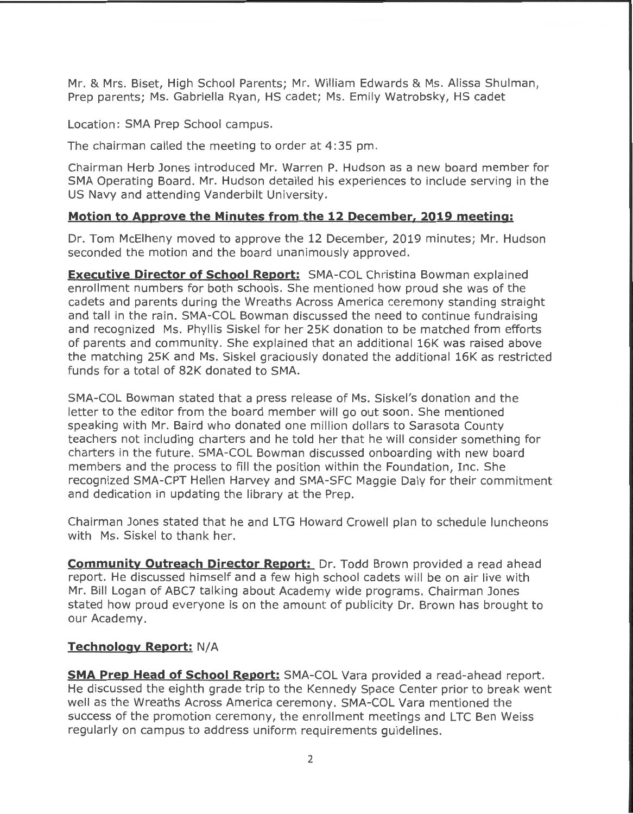Mr. & Mrs. Biset, High School Parents; Mr. William Edwards & Ms. Alissa Shulman, Prep parents; Ms. Gabriella Ryan, HS cadet; Ms. Emily Watrobsky, HS cadet

Location: SMA Prep School campus.

The chairman called the meeting to order at 4:35 pm.

Chairman Herb Jones introduced Mr. Warren P. Hudson as a new board member for SMA Operating Board. Mr. Hudson detailed his experiences to include serving in the US Navy and attending Vanderbilt University.

## **Motion to Approve the Minutes from the 12 December, 2019 meeting:**

Dr. Tom McElheny moved to approve the 12 December, 2019 minutes; Mr. Hudson seconded the motion and the board unanimously approved.

**Executive Director of School Report:** SMA-COL Christina Bowman explained enrollment numbers for both schools. She mentioned how proud she was of the cadets and parents during the Wreaths Across America ceremony standing straight and tall in the rain. SMA-COL Bowman discussed the need to continue fundraising and recognized Ms. Phyllis Siskel for her 25K donation to be matched from efforts of parents and community. She explained that an additional 16K was raised above the matching 25K and Ms. Siske! graciously donated the additional 16K as restricted funds for a total of 82K donated to SMA.

SMA-COL Bowman stated that a press release of Ms. Siskel's donation and the letter to the editor from the board member will go out soon. She mentioned speaking with Mr. Baird who donated one million dollars to Sarasota County teachers not including charters and he told her that he will consider something for charters in the future. SMA-COL Bowman discussed onboarding with new board members and the process to fill the position within the Foundation, Inc. She recognized SMA-CPT Hellen Harvey and SMA-SFC Maggie Daly for their commitment and dedication in updating the library at the Prep.

Chairman Jones stated that he and LTG Howard Crowell plan to schedule luncheons with Ms. Siskel to thank her.

**Community Outreach Director Report:** Dr. Todd Brown provided a read ahead report. He discussed himself and a few high school cadets will be on air live with Mr. Bill Logan of ABC7 talking about Academy wide programs. Chairman Jones stated how proud everyone is on the amount of publicity Dr. Brown has brought to our Academy.

## **Technology Report: N/A**

**SMA Prep Head of School Report:** SMA-COL Vara provided a read-ahead report. He discussed the eighth grade trip to the Kennedy Space Center prior to break went well as the Wreaths Across America ceremony. SMA-COL Vara mentioned the success of the promotion ceremony, the enrollment meetings and LTC Ben Weiss regularly on campus to address uniform requirements guidelines.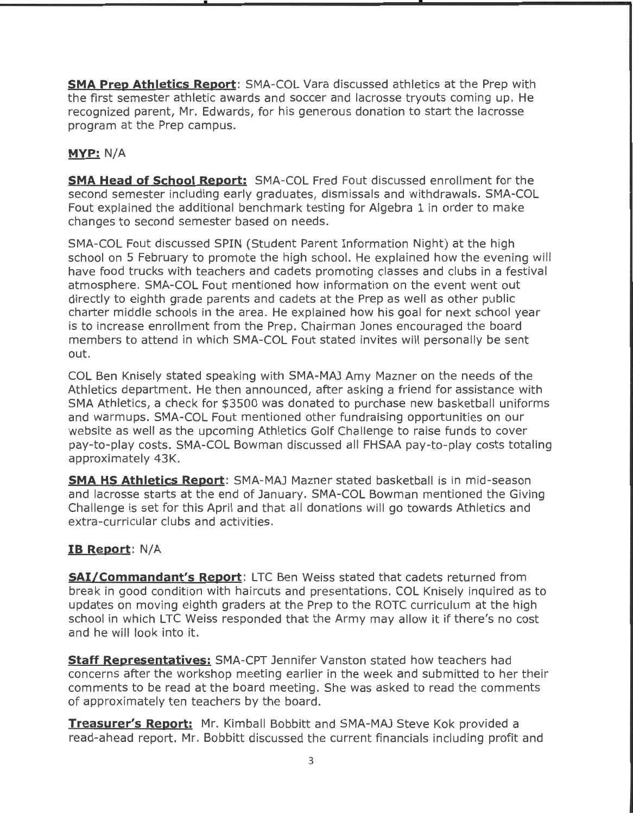**SMA Prep Athletics Report:** SMA-COL Vara discussed athletics at the Prep with the first semester athletic awards and soccer and lacrosse tryouts coming up. He recognized parent, Mr. Edwards, for his generous donation to start the lacrosse program at the Prep campus.

# **MVP:** N/A

**SMA Head of School Report:** SMA-COL Fred Fout discussed enrollment for the second semester including early graduates, dismissals and withdrawals. SMA-COL Fout explained the additional benchmark testing for Algebra 1 in order to make changes to second semester based on needs.

SMA-COL Fout discussed SPIN (Student Parent Information Night) at the high school on 5 February to promote the high school. He explained how the evening will have food trucks with teachers and cadets promoting classes and clubs in a festival atmosphere. SMA-COL Fout mentioned how information on the event went out directly to eighth grade parents and cadets at the Prep as well as other public charter middle schools in the area. He explained how his goal for next school year is to increase enrollment from the Prep. Chairman Jones encouraged the board members to attend in which SMA-COL Fout stated invites will personally be sent out.

COL Ben Knisely stated speaking with SMA-MAJ Amy Mazner on the needs of the Athletics department. He then announced, after asking a friend for assistance with SMA Athletics, a check for \$3500 was donated to purchase new basketball uniforms and warmups. SMA-COL Fout mentioned other fundraising opportunities on our website as well as the upcoming Athletics Golf Challenge to raise funds to cover pay-to-play costs. SMA-COL Bowman discussed all FHSAA pay-to-play costs totaling approximately 43K.

**SMA HS Athletics Report:** SMA-MAJ Mazner stated basketball is in mid-season and lacrosse starts at the end of January. SMA-COL Bowman mentioned the Giving Challenge is set for this April and that all donations will go towards Athletics and extra-curricular clubs and activities.

## **IB Report: N/A**

**SAi/Commandant's Report:** LTC Ben Weiss stated that cadets returned from break in good condition with haircuts and presentations. COL Knisely inquired as to updates on moving eighth graders at the Prep to the ROTC curriculum at the high school in which LTC Weiss responded that the Army may allow it if there's no cost and he will look into it.

**Staff Representatives:** SMA-CPT Jennifer Vanston stated how teachers had concerns after the workshop meeting earlier in the week and submitted to her their comments to be read at the board meeting. She was asked to read the comments of approximately ten teachers by the board.

**Treasurer's Report:** Mr. Kimball Bobbitt and SMA-MAJ Steve Kok provided a read-ahead report. Mr. Bobbitt discussed the current financials including profit and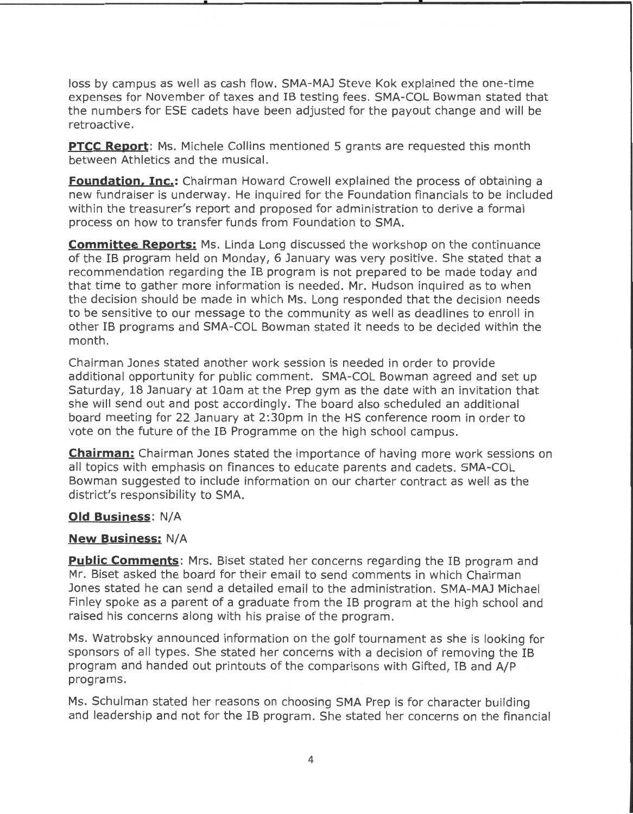loss by campus as well as cash flow. SMA-MAJ Steve Kok explained the one-time expenses for November of taxes and IB testing fees . SMA-COL Bowman stated that the numbers for ESE cadets have been adjusted for the payout change and will be retroactive.

**PTCC Report:** Ms. Michele Collins mentioned 5 grants are requested this month between Athletics and the musical.

**Foundation, Inc.:** Chairman Howard Crowell explained the process of obtaining a new fundraiser is underway. He inquired for the Foundation financials to be included within the treasurer's report and proposed for administration to derive a formal process on how to transfer funds from Foundation to SMA.

**Committee Reports:** Ms. Linda Long discussed the workshop on the continuance of the IB program held on Monday, 6 January was very positive. She stated that a recommendation regarding the IB program is not prepared to be made today and that time to gather more information is needed. Mr. Hudson inquired as to when the decision should be made in which Ms. Long responded that the decision needs to be sensitive to our message to the community as well as deadlines to enroll in other IB programs and SMA-COL Bowman stated it needs to be decided within the month.

Chairman Jones stated another work session is needed in order to provide additional opportunity for public comment. SMA-COL Bowman agreed and set up Saturday, 18 January at 10am at the Prep gym as the date with an invitation that she will send out and post accordingly. The board also scheduled an additional board meeting for 22 January at 2: 30pm in the HS conference room in order to vote on the future of the IB Programme on the high school campus.

**Chairman:** Chairman Jones stated the importance of having more work sessions on all topics with emphasis on finances to educate parents and cadets. SMA-COL Bowman suggested to include information on our charter contract as well as the district's responsibility to SMA.

### **Old Business:** N/A

### **New Business: N/A**

**Public Comments:** Mrs. Biset stated her concerns regarding the IB program and Mr. Biset asked the board for their email to send comments in which Chairman Jones stated he can send a detailed email to the administration. SMA-MAJ Michael Finley spoke as a parent of a graduate from the IB program at the high school and raised his concerns along with his praise of the program.

Ms. Watrobsky announced information on the golf tournament as she is looking for sponsors of all types. She stated her concerns with a decision of removing the IB program and handed out printouts of the comparisons with Gifted, IB and A/P programs.

Ms. Schulman stated her reasons on choosing SMA Prep is for character building and leadership and not for the IB program. She stated her concerns on the financial